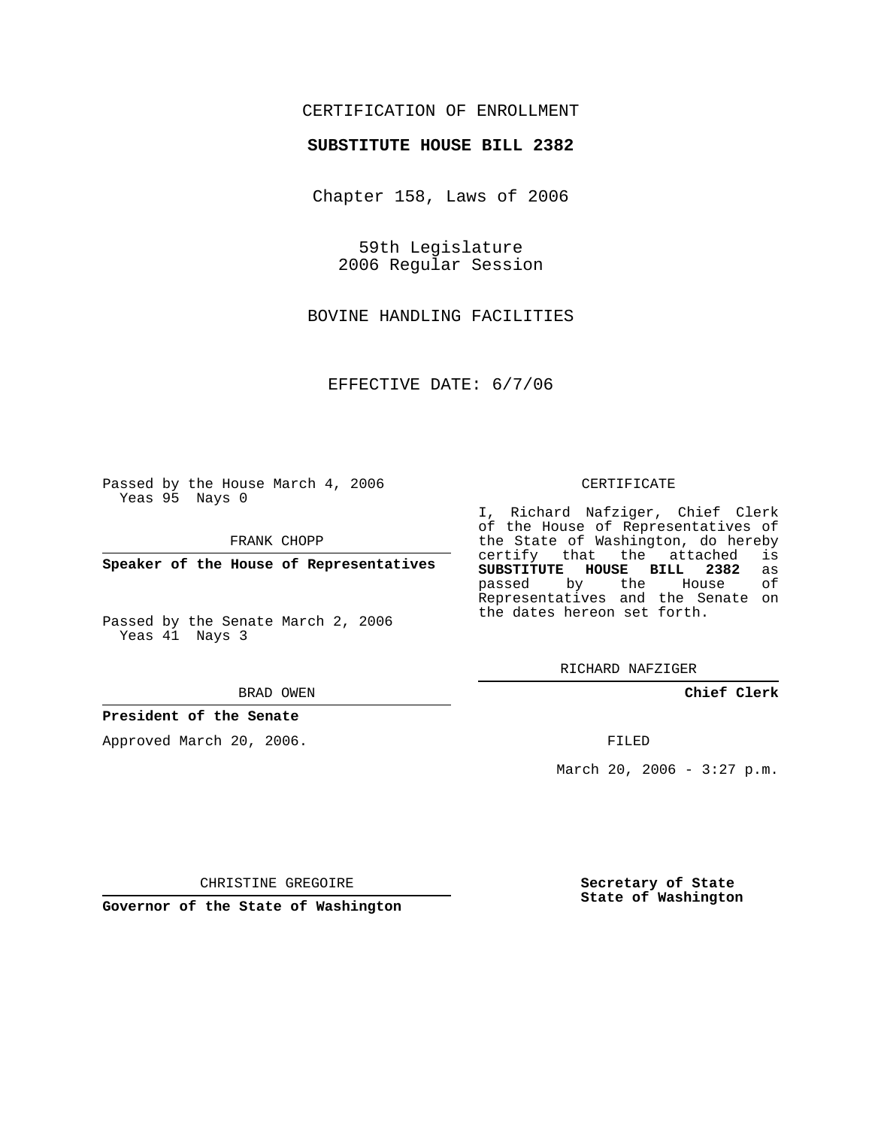## CERTIFICATION OF ENROLLMENT

### **SUBSTITUTE HOUSE BILL 2382**

Chapter 158, Laws of 2006

59th Legislature 2006 Regular Session

BOVINE HANDLING FACILITIES

EFFECTIVE DATE: 6/7/06

Passed by the House March 4, 2006 Yeas 95 Nays 0

FRANK CHOPP

**Speaker of the House of Representatives**

Passed by the Senate March 2, 2006 Yeas 41 Nays 3

#### BRAD OWEN

### **President of the Senate**

Approved March 20, 2006.

#### CERTIFICATE

I, Richard Nafziger, Chief Clerk of the House of Representatives of the State of Washington, do hereby<br>certify that the attached is certify that the attached **SUBSTITUTE HOUSE BILL 2382** as passed by the House Representatives and the Senate on the dates hereon set forth.

RICHARD NAFZIGER

**Chief Clerk**

FILED

March 20, 2006 -  $3:27$  p.m.

CHRISTINE GREGOIRE

**Governor of the State of Washington**

**Secretary of State State of Washington**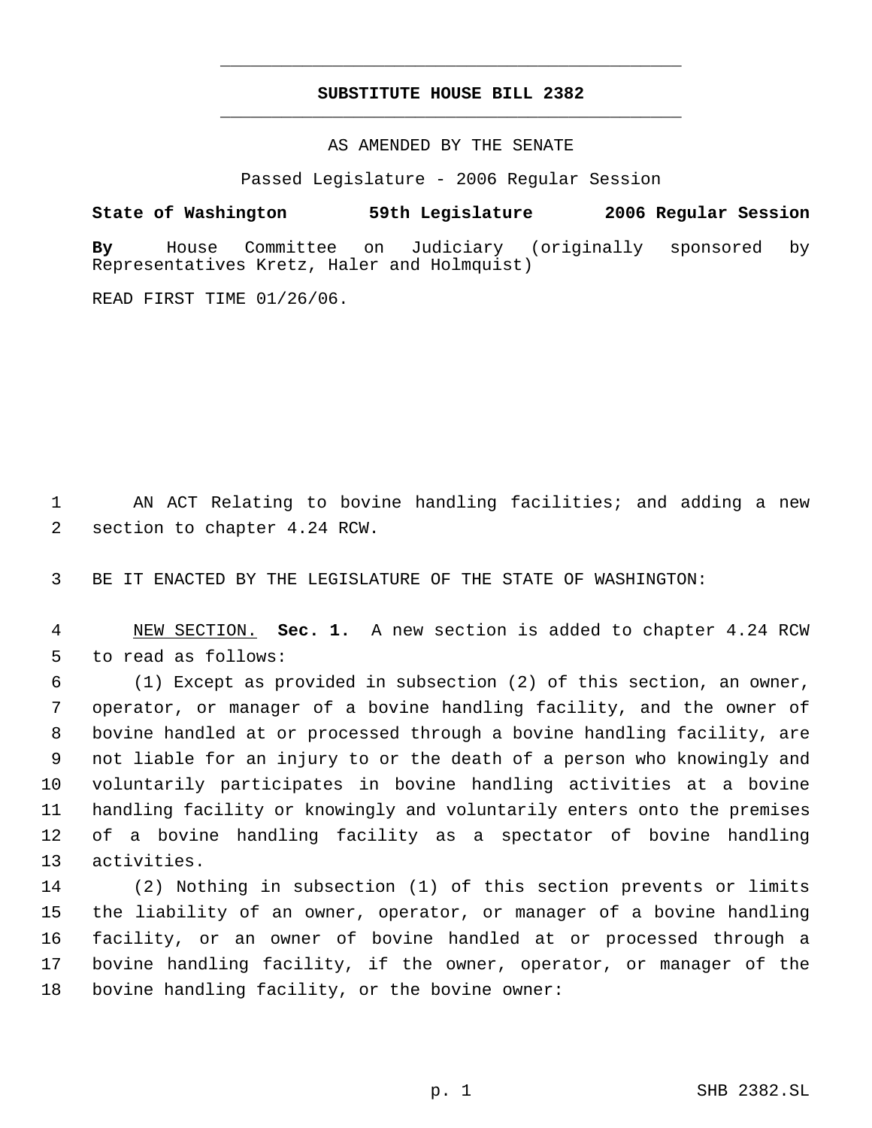# **SUBSTITUTE HOUSE BILL 2382** \_\_\_\_\_\_\_\_\_\_\_\_\_\_\_\_\_\_\_\_\_\_\_\_\_\_\_\_\_\_\_\_\_\_\_\_\_\_\_\_\_\_\_\_\_

\_\_\_\_\_\_\_\_\_\_\_\_\_\_\_\_\_\_\_\_\_\_\_\_\_\_\_\_\_\_\_\_\_\_\_\_\_\_\_\_\_\_\_\_\_

AS AMENDED BY THE SENATE

Passed Legislature - 2006 Regular Session

**State of Washington 59th Legislature 2006 Regular Session By** House Committee on Judiciary (originally sponsored by Representatives Kretz, Haler and Holmquist)

READ FIRST TIME 01/26/06.

 AN ACT Relating to bovine handling facilities; and adding a new section to chapter 4.24 RCW.

BE IT ENACTED BY THE LEGISLATURE OF THE STATE OF WASHINGTON:

 NEW SECTION. **Sec. 1.** A new section is added to chapter 4.24 RCW to read as follows:

 (1) Except as provided in subsection (2) of this section, an owner, operator, or manager of a bovine handling facility, and the owner of bovine handled at or processed through a bovine handling facility, are not liable for an injury to or the death of a person who knowingly and voluntarily participates in bovine handling activities at a bovine handling facility or knowingly and voluntarily enters onto the premises of a bovine handling facility as a spectator of bovine handling activities.

 (2) Nothing in subsection (1) of this section prevents or limits the liability of an owner, operator, or manager of a bovine handling facility, or an owner of bovine handled at or processed through a bovine handling facility, if the owner, operator, or manager of the bovine handling facility, or the bovine owner: